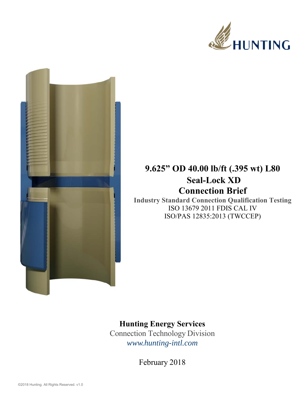



## **9.625" OD 40.00 lb/ft (.395 wt) L80 Seal-Lock XD Connection Brief**

**Industry Standard Connection Qualification Testing**  ISO 13679 2011 FDIS CAL IV ISO/PAS 12835:2013 (TWCCEP)

## **Hunting Energy Services**

Connection Technology Division *www.hunting-intl.com*

February 2018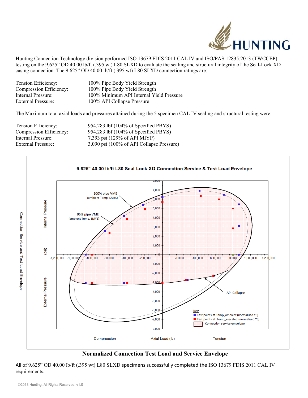

Hunting Connection Technology division performed ISO 13679 FDIS 2011 CAL IV and ISO/PAS 12835:2013 (TWCCEP) testing on the 9.625" OD 40.00 lb/ft (.395 wt) L80 SLXD to evaluate the sealing and structural integrity of the Seal-Lock XD casing connection. The 9.625" OD 40.00 lb/ft (.395 wt) L80 SLXD connection ratings are:

| Tension Efficiency:     | 100% Pipe Body Yield Strength            |
|-------------------------|------------------------------------------|
| Compression Efficiency: | 100% Pipe Body Yield Strength            |
| Internal Pressure:      | 100% Minimum API Internal Yield Pressure |
| External Pressure:      | 100% API Collapse Pressure               |

The Maximum total axial loads and pressures attained during the 5 specimen CAL IV sealing and structural testing were:

| Tension Efficiency:       | 954,283 lbf (104% of Specified PBYS)      |
|---------------------------|-------------------------------------------|
| Compression Efficiency:   | 954,283 lbf (104% of Specified PBYS)      |
| Internal Pressure:        | 7,393 psi (129% of API MIYP)              |
| <b>External Pressure:</b> | 3,090 psi (100% of API Collapse Pressure) |



## **Normalized Connection Test Load and Service Envelope**

All of 9.625" OD 40.00 lb/ft (.395 wt) L80 SLXD specimens successfully completed the ISO 13679 FDIS 2011 CAL IV requirements.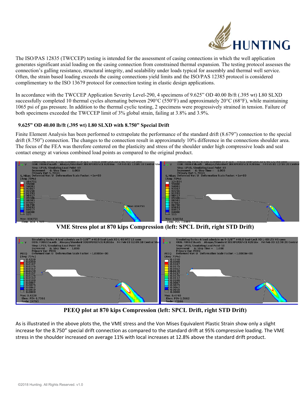

The ISO/PAS 12835 (TWCCEP) testing is intended for the assessment of casing connections in which the well application generates significant axial loading on the casing connection from constrained thermal expansion. The testing protocol assesses the connection's galling resistance, structural integrity, and sealability under loads typical for assembly and thermal well service. Often, the strain based loading exceeds the casing connections yield limits and the ISO/PAS 12385 protocol is considered complimentary to the ISO 13679 protocol for connection testing in elastic design applications.

In accordance with the TWCCEP Application Severity Level-290, 4 specimens of 9.625" OD 40.00 lb/ft (.395 wt) L80 SLXD successfully completed 10 thermal cycles alternating between  $290^{\circ}C(550^{\circ}F)$  and approximately  $20^{\circ}C(68^{\circ}F)$ , while maintaining 1065 psi of gas pressure. In addition to the thermal cyclic testing, 2 specimens were progressively strained in tension. Failure of both specimens exceeded the TWCCEP limit of 3% global strain, failing at 3.8% and 3.9%.

## **9.625" OD 40.00 lb/ft (.395 wt) L80 SLXD with 8.750" Special Drift**

Finite Element Analysis has been performed to extrapolate the performance of the standard drift (8.679") connection to the special drift (8.750") connection. The changes to the connection result in approximately 10% difference in the connections shoulder area. The focus of the FEA was therefore centered on the plasticity and stress of the shoulder under high compressive loads and seal contact energy at various combined load points as compared to the original product.



**VME Stress plot at 870 kips Compression (left: SPCL Drift, right STD Drift)** 



**PEEQ plot at 870 kips Compression (left: SPCL Drift, right STD Drift)** 

As is illustrated in the above plots the, the VME stress and the Von Mises Equivalent Plastic Strain show only a slight increase for the 8.750" special drift connection as compared to the standard drift at 95% compressive loading. The VME stress in the shoulder increased on average 11% with local increases at 12.8% above the standard drift product.